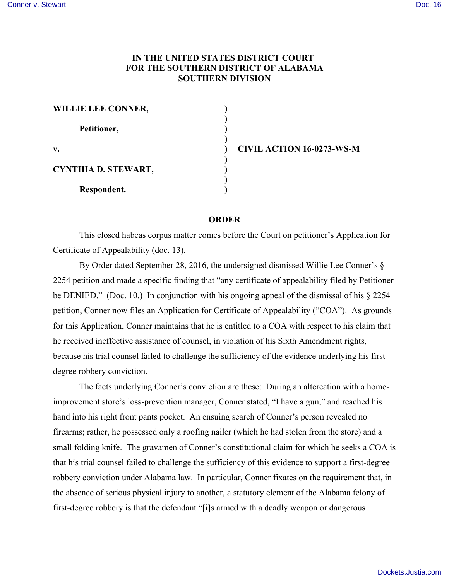## **IN THE UNITED STATES DISTRICT COURT FOR THE SOUTHERN DISTRICT OF ALABAMA SOUTHERN DIVISION**

| <b>WILLIE LEE CONNER,</b>  |  |
|----------------------------|--|
| Petitioner,                |  |
| v.                         |  |
| <b>CYNTHIA D. STEWART,</b> |  |
| Respondent.                |  |

**v. ) CIVIL ACTION 16-0273-WS-M**

## **ORDER**

This closed habeas corpus matter comes before the Court on petitioner's Application for Certificate of Appealability (doc. 13).

By Order dated September 28, 2016, the undersigned dismissed Willie Lee Conner's § 2254 petition and made a specific finding that "any certificate of appealability filed by Petitioner be DENIED." (Doc. 10.) In conjunction with his ongoing appeal of the dismissal of his § 2254 petition, Conner now files an Application for Certificate of Appealability ("COA"). As grounds for this Application, Conner maintains that he is entitled to a COA with respect to his claim that he received ineffective assistance of counsel, in violation of his Sixth Amendment rights, because his trial counsel failed to challenge the sufficiency of the evidence underlying his firstdegree robbery conviction.

The facts underlying Conner's conviction are these: During an altercation with a homeimprovement store's loss-prevention manager, Conner stated, "I have a gun," and reached his hand into his right front pants pocket. An ensuing search of Conner's person revealed no firearms; rather, he possessed only a roofing nailer (which he had stolen from the store) and a small folding knife. The gravamen of Conner's constitutional claim for which he seeks a COA is that his trial counsel failed to challenge the sufficiency of this evidence to support a first-degree robbery conviction under Alabama law. In particular, Conner fixates on the requirement that, in the absence of serious physical injury to another, a statutory element of the Alabama felony of first-degree robbery is that the defendant "[i]s armed with a deadly weapon or dangerous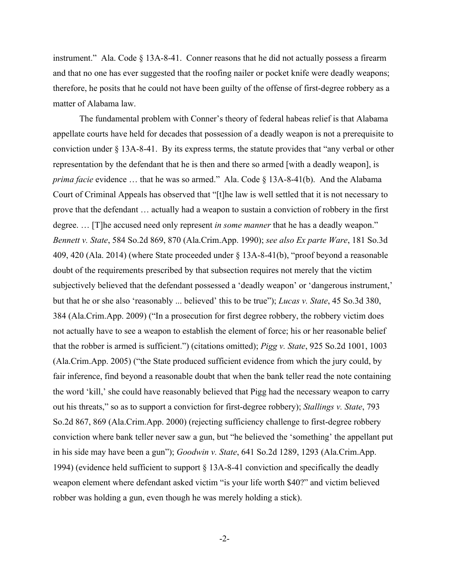instrument." Ala. Code  $\S$  13A-8-41. Conner reasons that he did not actually possess a firearm and that no one has ever suggested that the roofing nailer or pocket knife were deadly weapons; therefore, he posits that he could not have been guilty of the offense of first-degree robbery as a matter of Alabama law.

The fundamental problem with Conner's theory of federal habeas relief is that Alabama appellate courts have held for decades that possession of a deadly weapon is not a prerequisite to conviction under § 13A-8-41. By its express terms, the statute provides that "any verbal or other representation by the defendant that he is then and there so armed [with a deadly weapon], is *prima facie* evidence ... that he was so armed." Ala. Code § 13A-8-41(b). And the Alabama Court of Criminal Appeals has observed that "[t]he law is well settled that it is not necessary to prove that the defendant … actually had a weapon to sustain a conviction of robbery in the first degree. … [T]he accused need only represent *in some manner* that he has a deadly weapon." *Bennett v. State*, 584 So.2d 869, 870 (Ala.Crim.App. 1990); *see also Ex parte Ware*, 181 So.3d 409, 420 (Ala. 2014) (where State proceeded under § 13A-8-41(b), "proof beyond a reasonable doubt of the requirements prescribed by that subsection requires not merely that the victim subjectively believed that the defendant possessed a 'deadly weapon' or 'dangerous instrument,' but that he or she also 'reasonably ... believed' this to be true"); *Lucas v. State*, 45 So.3d 380, 384 (Ala.Crim.App. 2009) ("In a prosecution for first degree robbery, the robbery victim does not actually have to see a weapon to establish the element of force; his or her reasonable belief that the robber is armed is sufficient.") (citations omitted); *Pigg v. State*, 925 So.2d 1001, 1003 (Ala.Crim.App. 2005) ("the State produced sufficient evidence from which the jury could, by fair inference, find beyond a reasonable doubt that when the bank teller read the note containing the word 'kill,' she could have reasonably believed that Pigg had the necessary weapon to carry out his threats," so as to support a conviction for first-degree robbery); *Stallings v. State*, 793 So.2d 867, 869 (Ala.Crim.App. 2000) (rejecting sufficiency challenge to first-degree robbery conviction where bank teller never saw a gun, but "he believed the 'something' the appellant put in his side may have been a gun"); *Goodwin v. State*, 641 So.2d 1289, 1293 (Ala.Crim.App. 1994) (evidence held sufficient to support § 13A-8-41 conviction and specifically the deadly weapon element where defendant asked victim "is your life worth \$40?" and victim believed robber was holding a gun, even though he was merely holding a stick).

-2-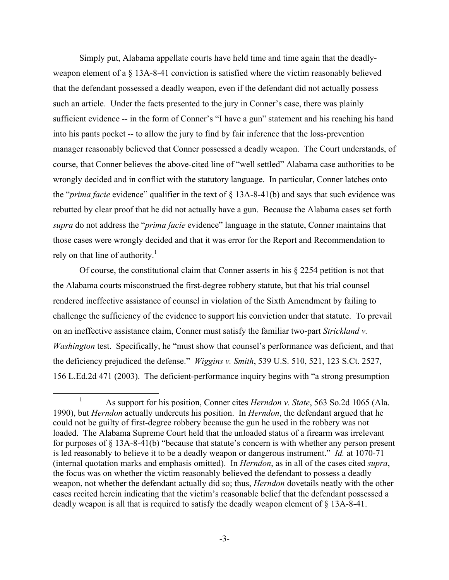Simply put, Alabama appellate courts have held time and time again that the deadlyweapon element of a § 13A-8-41 conviction is satisfied where the victim reasonably believed that the defendant possessed a deadly weapon, even if the defendant did not actually possess such an article. Under the facts presented to the jury in Conner's case, there was plainly sufficient evidence -- in the form of Conner's "I have a gun" statement and his reaching his hand into his pants pocket -- to allow the jury to find by fair inference that the loss-prevention manager reasonably believed that Conner possessed a deadly weapon. The Court understands, of course, that Conner believes the above-cited line of "well settled" Alabama case authorities to be wrongly decided and in conflict with the statutory language. In particular, Conner latches onto the "*prima facie* evidence" qualifier in the text of § 13A-8-41(b) and says that such evidence was rebutted by clear proof that he did not actually have a gun. Because the Alabama cases set forth *supra* do not address the "*prima facie* evidence" language in the statute, Conner maintains that those cases were wrongly decided and that it was error for the Report and Recommendation to rely on that line of authority.<sup>1</sup>

Of course, the constitutional claim that Conner asserts in his § 2254 petition is not that the Alabama courts misconstrued the first-degree robbery statute, but that his trial counsel rendered ineffective assistance of counsel in violation of the Sixth Amendment by failing to challenge the sufficiency of the evidence to support his conviction under that statute. To prevail on an ineffective assistance claim, Conner must satisfy the familiar two-part *Strickland v. Washington* test. Specifically, he "must show that counsel's performance was deficient, and that the deficiency prejudiced the defense." *Wiggins v. Smith*, 539 U.S. 510, 521, 123 S.Ct. 2527, 156 L.Ed.2d 471 (2003). The deficient-performance inquiry begins with "a strong presumption

<sup>&</sup>lt;sup>1</sup> As support for his position, Conner cites *Herndon v. State*, 563 So.2d 1065 (Ala. 1990), but *Herndon* actually undercuts his position. In *Herndon*, the defendant argued that he could not be guilty of first-degree robbery because the gun he used in the robbery was not loaded. The Alabama Supreme Court held that the unloaded status of a firearm was irrelevant for purposes of § 13A-8-41(b) "because that statute's concern is with whether any person present is led reasonably to believe it to be a deadly weapon or dangerous instrument." *Id.* at 1070-71 (internal quotation marks and emphasis omitted). In *Herndon*, as in all of the cases cited *supra*, the focus was on whether the victim reasonably believed the defendant to possess a deadly weapon, not whether the defendant actually did so; thus, *Herndon* dovetails neatly with the other cases recited herein indicating that the victim's reasonable belief that the defendant possessed a deadly weapon is all that is required to satisfy the deadly weapon element of § 13A-8-41.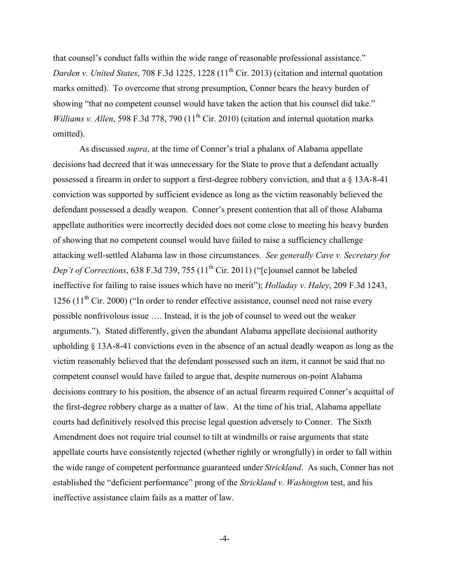that counsel's conduct falls within the wide range of reasonable professional assistance." *Darden v. United States, 708 F.3d 1225, 1228 (11<sup>th</sup> Cir. 2013) (citation and internal quotation* marks omitted). To overcome that strong presumption, Conner bears the heavy burden of showing "that no competent counsel would have taken the action that his counsel did take." *Williams v. Allen,* 598 F.3d 778, 790 (11<sup>th</sup> Cir. 2010) (citation and internal quotation marks omitted).

As discussed *supra*, at the time of Conner's trial a phalanx of Alabama appellate decisions had decreed that it was unnecessary for the State to prove that a defendant actually possessed a firearm in order to support a first-degree robbery conviction, and that a § 13A-8-41 conviction was supported by sufficient evidence as long as the victim reasonably believed the defendant possessed a deadly weapon. Conner's present contention that all of those Alabama appellate authorities were incorrectly decided does not come close to meeting his heavy burden of showing that no competent counsel would have failed to raise a sufficiency challenge attacking well-settled Alabama law in those circumstances. *See generally Cave v. Secretary for Dep't of Corrections*, 638 F.3d 739, 755 (11<sup>th</sup> Cir. 2011) ("[c]ounsel cannot be labeled ineffective for failing to raise issues which have no merit"); *Holladay v. Haley*, 209 F.3d 1243, 1256  $(11<sup>th</sup> Cir. 2000)$  ("In order to render effective assistance, counsel need not raise every possible nonfrivolous issue …. Instead, it is the job of counsel to weed out the weaker arguments."). Stated differently, given the abundant Alabama appellate decisional authority upholding § 13A-8-41 convictions even in the absence of an actual deadly weapon as long as the victim reasonably believed that the defendant possessed such an item, it cannot be said that no competent counsel would have failed to argue that, despite numerous on-point Alabama decisions contrary to his position, the absence of an actual firearm required Conner's acquittal of the first-degree robbery charge as a matter of law. At the time of his trial, Alabama appellate courts had definitively resolved this precise legal question adversely to Conner. The Sixth Amendment does not require trial counsel to tilt at windmills or raise arguments that state appellate courts have consistently rejected (whether rightly or wrongfully) in order to fall within the wide range of competent performance guaranteed under *Strickland*. As such, Conner has not established the "deficient performance" prong of the *Strickland v. Washington* test, and his ineffective assistance claim fails as a matter of law.

-4-